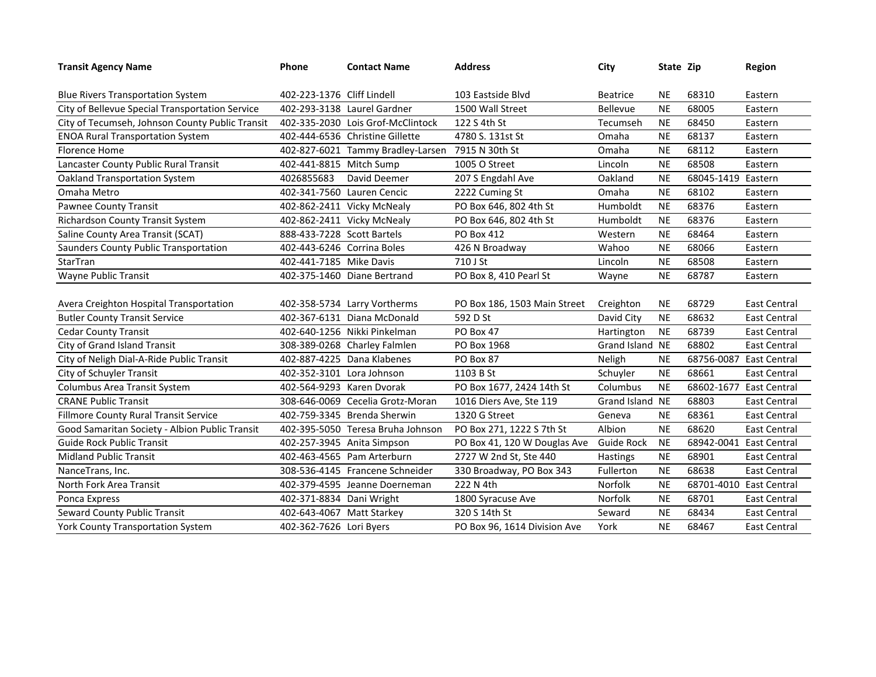| <b>Transit Agency Name</b>                      | Phone                      | <b>Contact Name</b>               | <b>Address</b>               | City              | State Zip |                    | <b>Region</b>           |
|-------------------------------------------------|----------------------------|-----------------------------------|------------------------------|-------------------|-----------|--------------------|-------------------------|
| <b>Blue Rivers Transportation System</b>        | 402-223-1376 Cliff Lindell |                                   | 103 Eastside Blyd            | <b>Beatrice</b>   | NE        | 68310              | Eastern                 |
| City of Bellevue Special Transportation Service |                            | 402-293-3138 Laurel Gardner       | 1500 Wall Street             | Bellevue          | <b>NE</b> | 68005              | Eastern                 |
| City of Tecumseh, Johnson County Public Transit |                            | 402-335-2030 Lois Grof-McClintock | 122 S 4th St                 | Tecumseh          | <b>NE</b> | 68450              | Eastern                 |
| <b>ENOA Rural Transportation System</b>         |                            | 402-444-6536 Christine Gillette   | 4780 S. 131st St             | Omaha             | <b>NE</b> | 68137              | Eastern                 |
| Florence Home                                   |                            | 402-827-6021 Tammy Bradley-Larsen | 7915 N 30th St               | Omaha             | <b>NE</b> | 68112              | Eastern                 |
| Lancaster County Public Rural Transit           | 402-441-8815 Mitch Sump    |                                   | 1005 O Street                | Lincoln           | <b>NE</b> | 68508              | Eastern                 |
| Oakland Transportation System                   | 4026855683                 | David Deemer                      | 207 S Engdahl Ave            | Oakland           | <b>NE</b> | 68045-1419 Eastern |                         |
| Omaha Metro                                     |                            | 402-341-7560 Lauren Cencic        | 2222 Cuming St               | Omaha             | <b>NE</b> | 68102              | Eastern                 |
| Pawnee County Transit                           |                            | 402-862-2411 Vicky McNealy        | PO Box 646, 802 4th St       | Humboldt          | <b>NE</b> | 68376              | Eastern                 |
| Richardson County Transit System                |                            | 402-862-2411 Vicky McNealy        | PO Box 646, 802 4th St       | Humboldt          | <b>NE</b> | 68376              | Eastern                 |
| Saline County Area Transit (SCAT)               | 888-433-7228 Scott Bartels |                                   | PO Box 412                   | Western           | <b>NE</b> | 68464              | Eastern                 |
| Saunders County Public Transportation           | 402-443-6246 Corrina Boles |                                   | 426 N Broadway               | Wahoo             | <b>NE</b> | 68066              | Eastern                 |
| StarTran                                        | 402-441-7185 Mike Davis    |                                   | 710 J St                     | Lincoln           | <b>NE</b> | 68508              | Eastern                 |
| Wayne Public Transit                            |                            | 402-375-1460 Diane Bertrand       | PO Box 8, 410 Pearl St       | Wayne             | <b>NE</b> | 68787              | Eastern                 |
|                                                 |                            |                                   |                              |                   |           |                    |                         |
| Avera Creighton Hospital Transportation         |                            | 402-358-5734 Larry Vortherms      | PO Box 186, 1503 Main Street | Creighton         | <b>NE</b> | 68729              | <b>East Central</b>     |
| <b>Butler County Transit Service</b>            |                            | 402-367-6131 Diana McDonald       | 592 D St                     | David City        | <b>NE</b> | 68632              | <b>East Central</b>     |
| <b>Cedar County Transit</b>                     |                            | 402-640-1256 Nikki Pinkelman      | PO Box 47                    | Hartington        | <b>NE</b> | 68739              | East Central            |
| City of Grand Island Transit                    |                            | 308-389-0268 Charley Falmlen      | PO Box 1968                  | Grand Island NE   |           | 68802              | East Central            |
| City of Neligh Dial-A-Ride Public Transit       |                            | 402-887-4225 Dana Klabenes        | PO Box 87                    | Neligh            | <b>NE</b> |                    | 68756-0087 East Central |
| City of Schuyler Transit                        | 402-352-3101 Lora Johnson  |                                   | 1103 B St                    | Schuyler          | <b>NE</b> | 68661              | <b>East Central</b>     |
| Columbus Area Transit System                    | 402-564-9293 Karen Dyorak  |                                   | PO Box 1677, 2424 14th St    | Columbus          | <b>NE</b> |                    | 68602-1677 East Central |
| <b>CRANE Public Transit</b>                     |                            | 308-646-0069 Cecelia Grotz-Moran  | 1016 Diers Ave, Ste 119      | Grand Island NE   |           | 68803              | <b>East Central</b>     |
| Fillmore County Rural Transit Service           |                            | 402-759-3345 Brenda Sherwin       | 1320 G Street                | Geneva            | <b>NE</b> | 68361              | East Central            |
| Good Samaritan Society - Albion Public Transit  |                            | 402-395-5050 Teresa Bruha Johnson | PO Box 271, 1222 S 7th St    | Albion            | <b>NE</b> | 68620              | <b>East Central</b>     |
| <b>Guide Rock Public Transit</b>                |                            | 402-257-3945 Anita Simpson        | PO Box 41, 120 W Douglas Ave | <b>Guide Rock</b> | <b>NE</b> |                    | 68942-0041 East Central |
| <b>Midland Public Transit</b>                   |                            | 402-463-4565 Pam Arterburn        | 2727 W 2nd St, Ste 440       | <b>Hastings</b>   | <b>NE</b> | 68901              | <b>East Central</b>     |
| NanceTrans, Inc.                                |                            | 308-536-4145 Francene Schneider   | 330 Broadway, PO Box 343     | Fullerton         | <b>NE</b> | 68638              | <b>East Central</b>     |
| North Fork Area Transit                         |                            | 402-379-4595 Jeanne Doerneman     | 222 N 4th                    | Norfolk           | <b>NE</b> |                    | 68701-4010 East Central |
| Ponca Express                                   | 402-371-8834 Dani Wright   |                                   | 1800 Syracuse Ave            | Norfolk           | <b>NE</b> | 68701              | <b>East Central</b>     |
| Seward County Public Transit                    | 402-643-4067 Matt Starkey  |                                   | 320 S 14th St                | Seward            | <b>NE</b> | 68434              | <b>East Central</b>     |
| <b>York County Transportation System</b>        | 402-362-7626 Lori Byers    |                                   | PO Box 96, 1614 Division Ave | York              | <b>NE</b> | 68467              | <b>East Central</b>     |